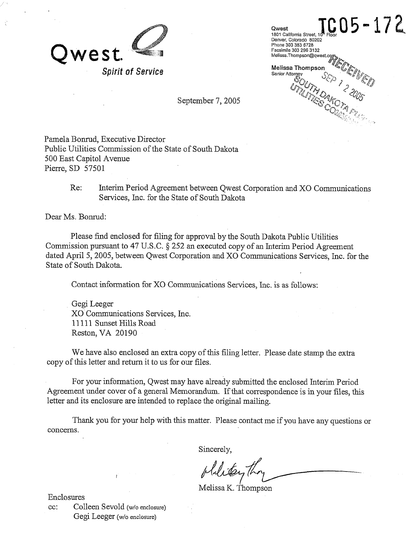

Qwest<br>1801 California Street, 10<sup>8</sup> Floor<br>Denver, Colorado 80202 **Qwest**  Phone 303 383 6728 Facsimile 303 296 3132<br>Melissa.Thompson@qwest.com **Melissa Thom**<br>Senior Attorney<br>  $\mathscr{L}$ Melissa Thompson

September 7, 2005

Pamela Bonrud, Executive Director Public Utilities Commission of the State of South Dakota 500 East Capitol Avenue Pierre, SD 57501

> Re: Interim Period Agreement between Qwest Corporation and XO Communications Services, Inc. for the State of South Dakota

Dear Ms. Bonrud:

Please find enclosed for filing for approval by the South Dakota Public Utilities Commission pursuant to 47 U.S.C. *5* 252 an executed copy of an Interim Period Agreement dated April 5,2005, between Qwest Corporation and XO Communications Services, Inc. for the State of South Dakota.

Contact information for XO Communications Services, Inc. is as follows:

Gegi Leeger XO' Communications Services, Inc. 11 11 1 Sunset Hills Road Reston, VA 20190

We have also enclosed an extra copy of this filing letter. Please date stamp the extra copy of this letter and return it to us for our files.

For your information, Qwest may have already submitted the enclosed Interim Period Agreement under cover of a general Memorandum. If that correspondence is in your files, this letter and its enclosure are intended to replace the original mailing.

Thank you for your help with this matter. Please contact me if you have any questions or concerns.

Sincerely,

philitary To

Melissa K. Thompson

Enclosures CC: Colleen Sevold (w/o enclosure) Gegi Leeger (w/o enclosure)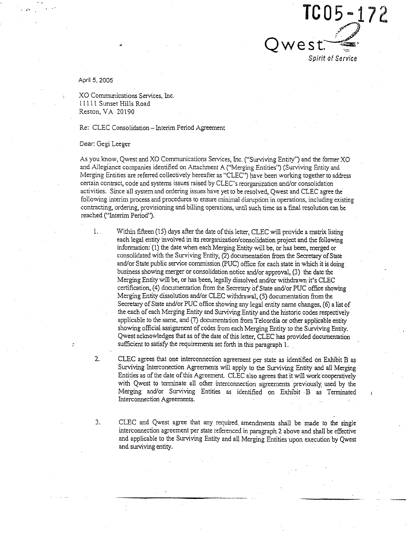

April 5, 2005

. KO Communications Services, Inc. 1 1 1 11 Sunset Hills Road Reston, VA 20190

#### Re: CLEC Consolidation - Interim Period Agreement

#### Dear: Gegi Leeger

As you know, Qwest and XO Communications Services, Inc. ("Surviving Entity") and the former XO and Allegiance companies identified on Attachment A ("Merging Entities") (Surviving Entity and Merging Entities are referred collectively hereafter as "CLEC") have been working together to address certain contract, code and systems issues raised by CLEC's reorganization and/or consolidation activities. Since all system and ordering issues have yet to be resolved, Qwest and CLEC agree the following interim process and procedures to ensure minimal disruption in operations, including existing contracting, ordering, provisioning and billing operations, until such time as a fial resolution can be reached ("Interim Period").

1. Within fifteen (15) days after the date of this letter, CLEC will provide a matrix listing each legal entity involved in its **reorganization/consolidation** project and the following information: (1) the date when each Merging Entity will be, or has been, merged or consolidated with the Surviving Entity, (2) documentation from the Secretary of State and/or State public service commission (PUC) office for each state in which it is doing business showing merger or consolidation notice and/or approval, **(5)** the date the Merging Entity will be, or has been, legally dissolved and/or withdrawn it's CLEC certification, (4) documentation from the Secretary of State and/or PUC office showing Merging Entity dissolution and/or CLEC withdrawal, (5) documentation from the Secretary of State and/or PUC office showing any legal entity name changes, (6) a list of the each of each Merging Entity and Surviving Entity and the historic codes respectively applicable to the same, and (7) documentation fiom Telcordia or other applicable entity showing official assignment of codes from each Merging Entity to the Surviving Entity. Qwest acknowledges that as of the date of this letter, CLEC has provided documentation sufficient to satisfy the requirements set forth in this paragraph 1.

2. CLEC agrees that one interconnection agreement per state as identified on Exhibit B as Surviving lnterconection Agreements will apply to the Surviving Entity and all Merging Entities as of the date of this Agreement. CLEC also agrees that it will work cooperatively with Qwest to terminate all other interconnection agreements previously. used by the Merging and/or Surviving Entities as identified on Exhibit B as Terminated Interconnection Agreements.

3. CLEC and Qwest agree that any required. amendments shall be made to the single interconnection agreement per state referenced in paragraph 2 above and shall be effective and applicable to the Surviving Entity and all Merging Entities upon execution by Qwest and surviving entity.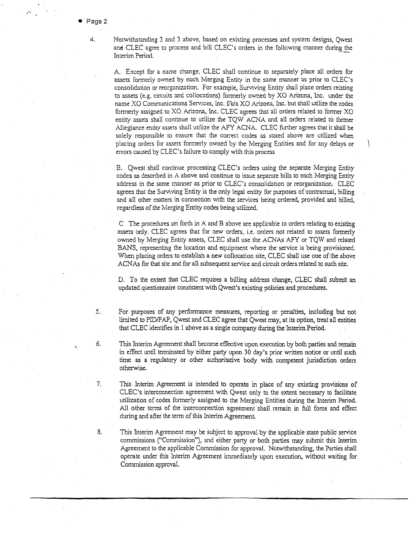$4.$ 

 $5.$ 

6.

:.

Notwithstanding 2 and 3 above, based on existing processes and system designs, Qwest and CLEC agree to process and bill CLEC's orders in the following manner during the Interim Period.

A. Except for a name change, CLEC shall continue to separately place all orders for assets formerly owned by each Merging Entity in the same manner as prior to CLEC's consolidation or reorganization. For example, Surviving Entity shall place orders relating to assets (e.g. circuits wd collocsrions) formerly owned by XO Arizona, Inc. under the name XO Communications Services, Inc. f/k/a XO Arizona, Inc. but shall utilize the codes formerly assigned to XO Arizona, Inc. CLEC agrees that all orders related to former XO entity assets shall continue to utilize the TQW ACNA and all orders related to former Allegiance entity assets shall utilize the AFY ACNA. CLEC further agrees that it shall be solely responsible to ensure that the correct codes as stated above are utilized when placing orders for assets formerly owned by the Merging Entities and for any delays or \ errors caused by CLEC's failure to comply with this process

B. Owest shall continue processing CLEC's orders using the separate Merging Entiry codes as described in A above and continue to issue separate bills to each Merging Entity address in the same manner as prior to CLEC's consolidxion or reorganization. CLEC agrees that the Surviving Entity is the only legal entity for purposes of contractual, billing and all other matters in connection with the services being ordered, provided and billed, regardless of the Merging Entity codes being utilized.

C The procedures set forth in A and B above are applicable to orders relating to.existing assets only. CLEC agrees that for new orders, 1.e. orders not related to assets formerly owned by Merging Entity assets, CLEC shall use the ACNAs AFY or TQW and related BANS, representing the location and equipment where the service is being provisioned. When placing orders to establish a new collocation site, CLEC shall use one of the above ACNAs for that site and for all subsequent service and circuit orders related to such site.

D. To the extent that CLEC requires a billing address change, CLEC shall submit an updated questionnaire consistent with Qwest's existing policies and procedures.

For purposes of any performance measures, reporting or penalties, including but not limited to PID/PAP, Qwest and CLEC agree that Qwest may, at its option, treat all entities that CLEC identifies in 1 above as a single company during the Interim Period. . .

This Interim Agreement shall become effective upon execution by both parties and remain in effect until terminated by either party upon 30 day's prior written notice or until such time as a regulatory or other authoritative body with competent jurisdiction orders otherwise.

- $7<sub>1</sub>$ This Interim Agreement is intended to operate in place of any existing provisions of CLEC's interconnection agreement with Qwest only to the extent necessary to facilitate utilization of codes formerly assigned to the Merging Entities during the Interim Period. All other terms of the interconnection agreement shall remain in full force and effect during and after the term of this Interim Agreement.
- 8. This Interim Ageement may be subject to approval by the applicable state public service commissions ("Commission"), and either party or both parties may submit this Interim Agreement to the applicable Commission for approval. Notwithstanding, the Parties shall operate under this Interim Agreement immediately upon execution, without waiting for Commission approval.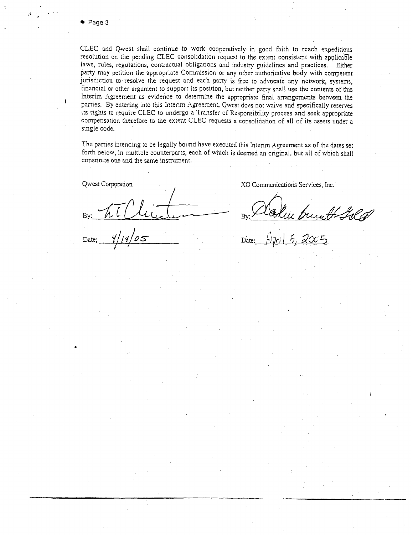. . . ..

CLEC and Qwest shall continue to work cooperatively in good faith to reach expeditious resolution on the pending CLEC consolidation request to the extent consistent with applica61e laws, rules, regulations, contractual obligations and industry guidelines and practices. Either party may petition the appropriate Commission or any other authoritative body with competent jurisdiction to resolve the request and each party is free to advocate any network, systems, financial or other argument to support its position, but neither parry shall use the contents of this Interim Agreement as evidence to determine the appropriate final arrangements between the parties. By entering into this Interim Agreement. Qwest does not waive and specifically reserves its rights to require CLEC to undergo a Transfer of Rcsponsibilicy process and seek appropriate compensation therefore to the extent CLEC requests n consolidation of all of its assets under a single code.

The parties intending to be legally bound have executed this Interim Agreement as of the dates set forth below, in multiple counterparts, each of which is deemed an original, bur all of which shall constitute one and the same instrument.

I South below, in multiple counterparts, each of which is deemed an original, but all of which shall<br>constitute one and the same instrument.<br>Discussion Review Review Review By: All China By: All China By: All China By: All C

Qwest Corpqration XO Communications Services, Inc.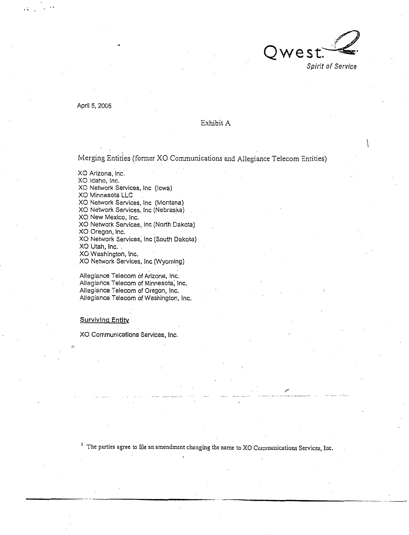

April 5, 2005

# Exhibit **A**

Merging Entities (former XO Communications and Allegiance Telecom Entities)

XO Arizona, lnc.

XO Idaho, Inc.

XO Network Services, Inc (Iowa)

XO Minnesota **LLC** 

XO Network Services, Inc (Montana)

XO Network Services, Inc (Nebraska)

XO New Mexico, Inc.

XO Network Services, Inc (North Dakota)

XO Oregon, Inc.

XO Network Services, Inc (South Dakota)

XO Utah, Inc. .

XO Washington, inc.

XO Network Services, Inc (Wyoming)

Allegiance Telecom of Arizona, Inc. Allegiance Telecom of Minnesota, Inc. Allegiance Telecom of Oregon, Inc. Allegiance Telecom of Washington, Inc.

#### Survivinq Entity

--,

XO.Comrnunications Services, Inc.

<sup>1</sup> The parties agree to file an amendment changing the name to XO Communications Services, Inc.